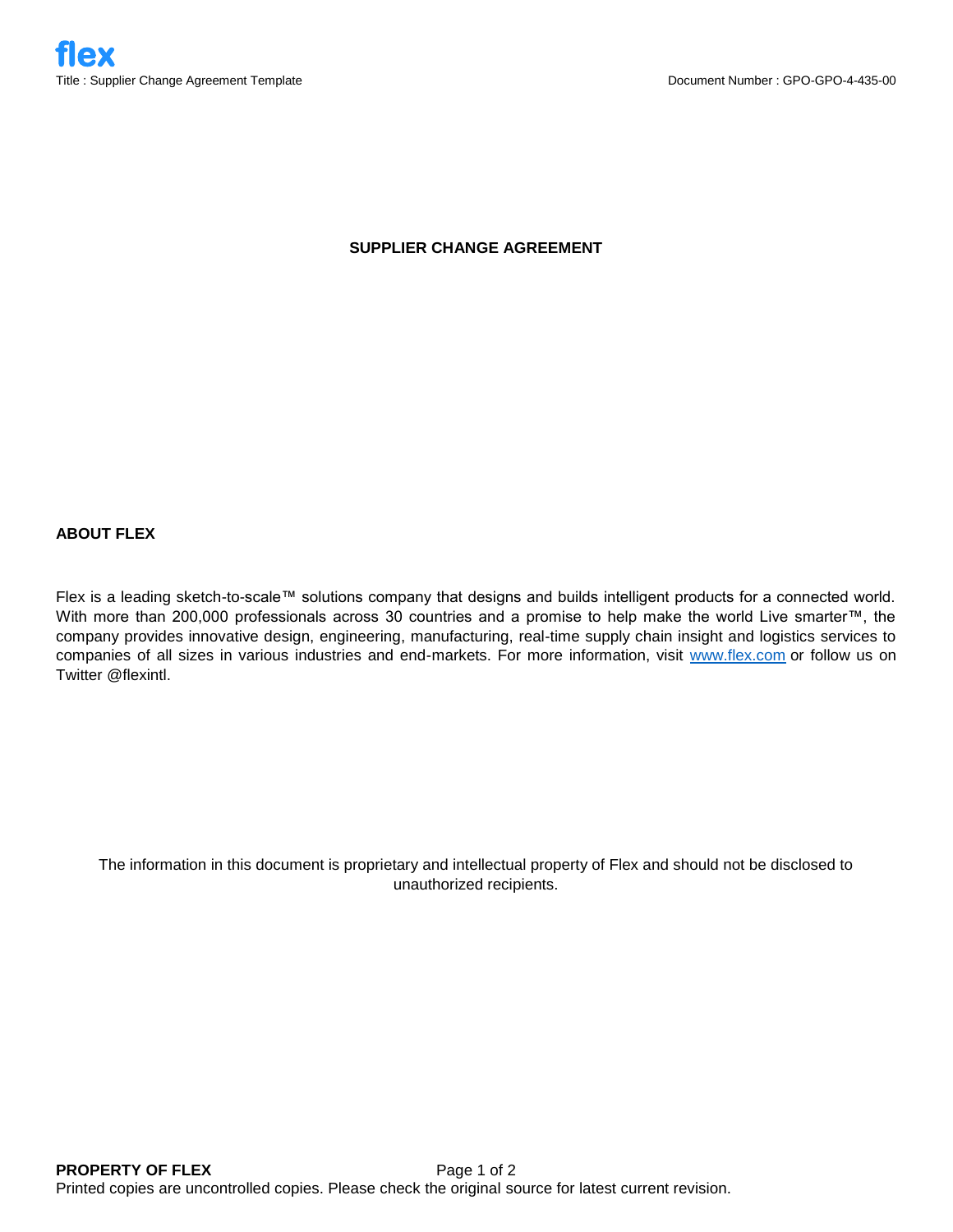## **SUPPLIER CHANGE AGREEMENT**

## **ABOUT FLEX**

Flex is a leading sketch-to-scale™ solutions company that designs and builds intelligent products for a connected world. With more than 200,000 professionals across 30 countries and a promise to help make the world Live smarter™, the company provides innovative design, engineering, manufacturing, real-time supply chain insight and logistics services to companies of all sizes in various industries and end-markets. For more information, visit [www.flex.com](http://www.flex.com/) or follow us on Twitter @flexintl.

The information in this document is proprietary and intellectual property of Flex and should not be disclosed to unauthorized recipients.